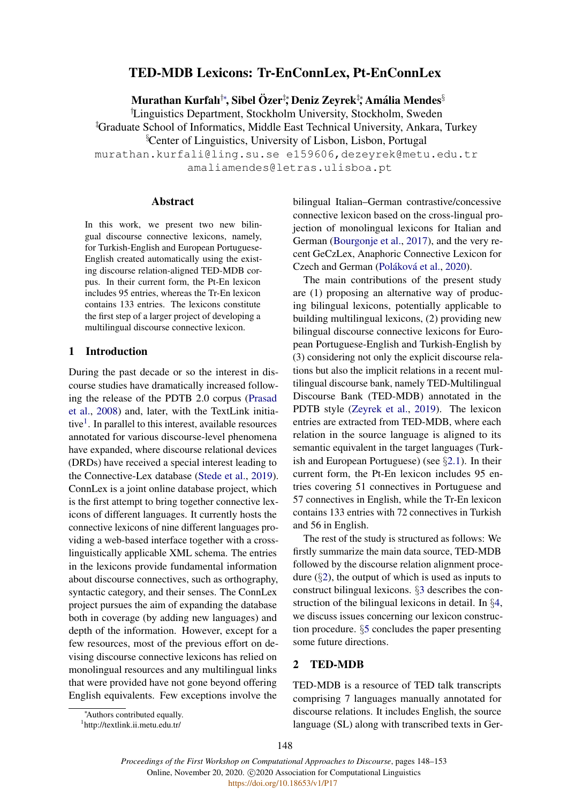# TED-MDB Lexicons: Tr-EnConnLex, Pt-EnConnLex

Murathan Kurfalı†\*, Sibel Özer‡\*, Deniz Zeyrek‡\*, Amália Mendes $^\S$ 

†Linguistics Department, Stockholm University, Stockholm, Sweden ‡Graduate School of Informatics, Middle East Technical University, Ankara, Turkey §Center of Linguistics, University of Lisbon, Lisbon, Portugal murathan.kurfali@ling.su.se e159606,dezeyrek@metu.edu.tr

amaliamendes@letras.ulisboa.pt

#### Abstract

In this work, we present two new bilingual discourse connective lexicons, namely, for Turkish-English and European Portuguese-English created automatically using the existing discourse relation-aligned TED-MDB corpus. In their current form, the Pt-En lexicon includes 95 entries, whereas the Tr-En lexicon contains 133 entries. The lexicons constitute the first step of a larger project of developing a multilingual discourse connective lexicon.

## 1 Introduction

During the past decade or so the interest in discourse studies have dramatically increased following the release of the PDTB 2.0 corpus [\(Prasad](#page-4-0) [et al.,](#page-4-0) [2008\)](#page-4-0) and, later, with the TextLink initia-tive<sup>[1](#page-0-0)</sup>. In parallel to this interest, available resources annotated for various discourse-level phenomena have expanded, where discourse relational devices (DRDs) have received a special interest leading to the Connective-Lex database [\(Stede et al.,](#page-5-0) [2019\)](#page-5-0). ConnLex is a joint online database project, which is the first attempt to bring together connective lexicons of different languages. It currently hosts the connective lexicons of nine different languages providing a web-based interface together with a crosslinguistically applicable XML schema. The entries in the lexicons provide fundamental information about discourse connectives, such as orthography, syntactic category, and their senses. The ConnLex project pursues the aim of expanding the database both in coverage (by adding new languages) and depth of the information. However, except for a few resources, most of the previous effort on devising discourse connective lexicons has relied on monolingual resources and any multilingual links that were provided have not gone beyond offering English equivalents. Few exceptions involve the

bilingual Italian–German contrastive/concessive connective lexicon based on the cross-lingual projection of monolingual lexicons for Italian and German [\(Bourgonje et al.,](#page-4-1) [2017\)](#page-4-1), and the very recent GeCzLex, Anaphoric Connective Lexicon for Czech and German (Poláková et al., [2020\)](#page-4-2).

The main contributions of the present study are (1) proposing an alternative way of producing bilingual lexicons, potentially applicable to building multilingual lexicons, (2) providing new bilingual discourse connective lexicons for European Portuguese-English and Turkish-English by (3) considering not only the explicit discourse relations but also the implicit relations in a recent multilingual discourse bank, namely TED-Multilingual Discourse Bank (TED-MDB) annotated in the PDTB style [\(Zeyrek et al.,](#page-5-1) [2019\)](#page-5-1). The lexicon entries are extracted from TED-MDB, where each relation in the source language is aligned to its semantic equivalent in the target languages (Turkish and European Portuguese) (see §[2.1\)](#page-1-0). In their current form, the Pt-En lexicon includes 95 entries covering 51 connectives in Portuguese and 57 connectives in English, while the Tr-En lexicon contains 133 entries with 72 connectives in Turkish and 56 in English.

The rest of the study is structured as follows: We firstly summarize the main data source, TED-MDB followed by the discourse relation alignment procedure  $(\S 2)$  $(\S 2)$ , the output of which is used as inputs to construct bilingual lexicons. §[3](#page-1-1) describes the construction of the bilingual lexicons in detail. In §[4,](#page-3-0) we discuss issues concerning our lexicon construction procedure. §[5](#page-4-3) concludes the paper presenting some future directions.

## <span id="page-0-1"></span>2 TED-MDB

TED-MDB is a resource of TED talk transcripts comprising 7 languages manually annotated for discourse relations. It includes English, the source language (SL) along with transcribed texts in Ger-

<sup>∗</sup>Authors contributed equally.

<span id="page-0-0"></span><sup>1</sup> http://textlink.ii.metu.edu.tr/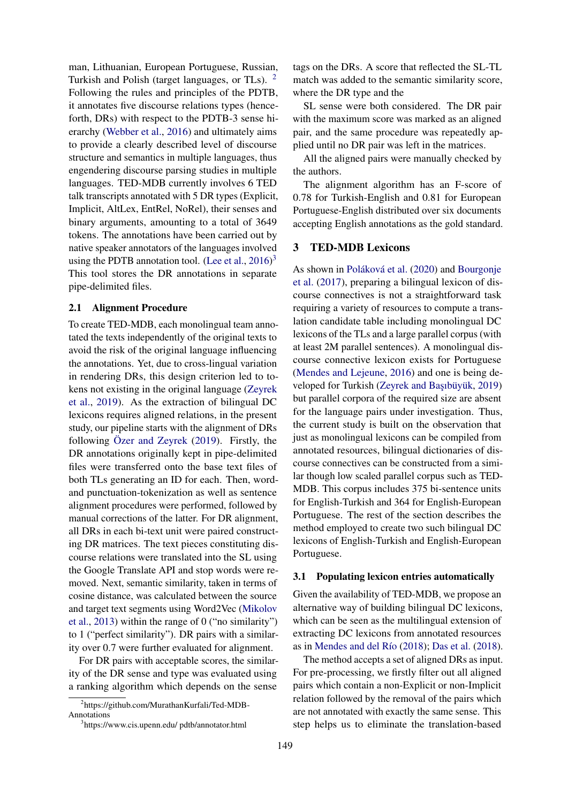man, Lithuanian, European Portuguese, Russian, Turkish and Polish (target languages, or TLs). <sup>[2](#page-1-2)</sup> Following the rules and principles of the PDTB, it annotates five discourse relations types (henceforth, DRs) with respect to the PDTB-3 sense hierarchy [\(Webber et al.,](#page-5-2) [2016\)](#page-5-2) and ultimately aims to provide a clearly described level of discourse structure and semantics in multiple languages, thus engendering discourse parsing studies in multiple languages. TED-MDB currently involves 6 TED talk transcripts annotated with 5 DR types (Explicit, Implicit, AltLex, EntRel, NoRel), their senses and binary arguments, amounting to a total of 3649 tokens. The annotations have been carried out by native speaker annotators of the languages involved using the PDTB annotation tool. [\(Lee et al.,](#page-4-4)  $2016$ )<sup>[3](#page-1-3)</sup> This tool stores the DR annotations in separate pipe-delimited files.

### <span id="page-1-0"></span>2.1 Alignment Procedure

To create TED-MDB, each monolingual team annotated the texts independently of the original texts to avoid the risk of the original language influencing the annotations. Yet, due to cross-lingual variation in rendering DRs, this design criterion led to tokens not existing in the original language [\(Zeyrek](#page-5-1) [et al.,](#page-5-1) [2019\)](#page-5-1). As the extraction of bilingual DC lexicons requires aligned relations, in the present study, our pipeline starts with the alignment of DRs following Özer and Zeyrek  $(2019)$ . Firstly, the DR annotations originally kept in pipe-delimited files were transferred onto the base text files of both TLs generating an ID for each. Then, wordand punctuation-tokenization as well as sentence alignment procedures were performed, followed by manual corrections of the latter. For DR alignment, all DRs in each bi-text unit were paired constructing DR matrices. The text pieces constituting discourse relations were translated into the SL using the Google Translate API and stop words were removed. Next, semantic similarity, taken in terms of cosine distance, was calculated between the source and target text segments using Word2Vec [\(Mikolov](#page-4-6) [et al.,](#page-4-6) [2013\)](#page-4-6) within the range of 0 ("no similarity") to 1 ("perfect similarity"). DR pairs with a similarity over 0.7 were further evaluated for alignment.

For DR pairs with acceptable scores, the similarity of the DR sense and type was evaluated using a ranking algorithm which depends on the sense

tags on the DRs. A score that reflected the SL-TL match was added to the semantic similarity score, where the DR type and the

SL sense were both considered. The DR pair with the maximum score was marked as an aligned pair, and the same procedure was repeatedly applied until no DR pair was left in the matrices.

All the aligned pairs were manually checked by the authors.

The alignment algorithm has an F-score of 0.78 for Turkish-English and 0.81 for European Portuguese-English distributed over six documents accepting English annotations as the gold standard.

## <span id="page-1-1"></span>3 TED-MDB Lexicons

As shown in Poláková et al. [\(2020\)](#page-4-2) and [Bourgonje](#page-4-1) [et al.](#page-4-1) [\(2017\)](#page-4-1), preparing a bilingual lexicon of discourse connectives is not a straightforward task requiring a variety of resources to compute a translation candidate table including monolingual DC lexicons of the TLs and a large parallel corpus (with at least 2M parallel sentences). A monolingual discourse connective lexicon exists for Portuguese [\(Mendes and Lejeune,](#page-4-7) [2016\)](#page-4-7) and one is being de-veloped for Turkish (Zeyrek and Başıbüyük, [2019\)](#page-5-3) but parallel corpora of the required size are absent for the language pairs under investigation. Thus, the current study is built on the observation that just as monolingual lexicons can be compiled from annotated resources, bilingual dictionaries of discourse connectives can be constructed from a similar though low scaled parallel corpus such as TED-MDB. This corpus includes 375 bi-sentence units for English-Turkish and 364 for English-European Portuguese. The rest of the section describes the method employed to create two such bilingual DC lexicons of English-Turkish and English-European Portuguese.

#### 3.1 Populating lexicon entries automatically

Given the availability of TED-MDB, we propose an alternative way of building bilingual DC lexicons, which can be seen as the multilingual extension of extracting DC lexicons from annotated resources as in Mendes and del Río [\(2018\)](#page-4-9); [Das et al.](#page-4-9) (2018).

The method accepts a set of aligned DRs as input. For pre-processing, we firstly filter out all aligned pairs which contain a non-Explicit or non-Implicit relation followed by the removal of the pairs which are not annotated with exactly the same sense. This step helps us to eliminate the translation-based

<span id="page-1-2"></span><sup>2</sup> https://github.com/MurathanKurfali/Ted-MDB-Annotations

<span id="page-1-3"></span><sup>3</sup> https://www.cis.upenn.edu/ pdtb/annotator.html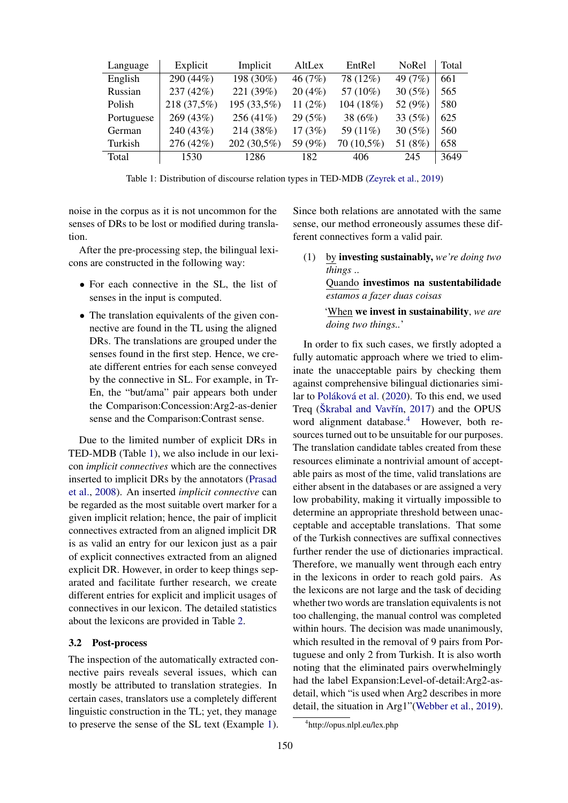<span id="page-2-0"></span>

| Language   | Explicit    | Implicit    | EntRel<br>AltLex |            | <b>NoRel</b> | Total |
|------------|-------------|-------------|------------------|------------|--------------|-------|
| English    | 290 (44%)   | 198 (30%)   | 46 (7%)          | 78 (12%)   | 49 (7%)      | 661   |
| Russian    | 237 (42%)   | 221 (39%)   | 20(4%)           | 57 (10%)   | 30(5%)       | 565   |
| Polish     | 218 (37,5%) | 195 (33,5%) | 11 $(2\%)$       | 104 (18%)  | 52 (9%)      | 580   |
| Portuguese | 269 (43%)   | 256 (41%)   | 29(5%)           | 38 $(6%)$  | 33 $(5%)$    | 625   |
| German     | 240 (43%)   | 214 (38%)   | 17(3%)           | 59 (11%)   | 30 $(5%)$    | 560   |
| Turkish    | 276 (42%)   | 202 (30,5%) | 59 (9%)          | 70 (10,5%) | 51 (8%)      | 658   |
| Total      | 1530        | 1286        | 182              | 406        | 245          | 3649  |

Table 1: Distribution of discourse relation types in TED-MDB [\(Zeyrek et al.,](#page-5-1) [2019\)](#page-5-1)

noise in the corpus as it is not uncommon for the senses of DRs to be lost or modified during translation.

After the pre-processing step, the bilingual lexicons are constructed in the following way:

- For each connective in the SL, the list of senses in the input is computed.
- The translation equivalents of the given connective are found in the TL using the aligned DRs. The translations are grouped under the senses found in the first step. Hence, we create different entries for each sense conveyed by the connective in SL. For example, in Tr-En, the "but/ama" pair appears both under the Comparison:Concession:Arg2-as-denier sense and the Comparison:Contrast sense.

Due to the limited number of explicit DRs in TED-MDB (Table [1\)](#page-2-0), we also include in our lexicon *implicit connectives* which are the connectives inserted to implicit DRs by the annotators [\(Prasad](#page-4-0) [et al.,](#page-4-0) [2008\)](#page-4-0). An inserted *implicit connective* can be regarded as the most suitable overt marker for a given implicit relation; hence, the pair of implicit connectives extracted from an aligned implicit DR is as valid an entry for our lexicon just as a pair of explicit connectives extracted from an aligned explicit DR. However, in order to keep things separated and facilitate further research, we create different entries for explicit and implicit usages of connectives in our lexicon. The detailed statistics about the lexicons are provided in Table [2.](#page-3-1)

### <span id="page-2-3"></span>3.2 Post-process

The inspection of the automatically extracted connective pairs reveals several issues, which can mostly be attributed to translation strategies. In certain cases, translators use a completely different linguistic construction in the TL; yet, they manage to preserve the sense of the SL text (Example [1\)](#page-2-1).

Since both relations are annotated with the same sense, our method erroneously assumes these different connectives form a valid pair.

<span id="page-2-1"></span>(1) by investing sustainably, *we're doing two things* ..

> Quando investimos na sustentabilidade *estamos a fazer duas coisas*

> 'When we invest in sustainability, *we are doing two things..*'

In order to fix such cases, we firstly adopted a fully automatic approach where we tried to eliminate the unacceptable pairs by checking them against comprehensive bilingual dictionaries simi-lar to Poláková et al. [\(2020\)](#page-4-2). To this end, we used Treq (Škrabal and Vavřín, [2017\)](#page-4-10) and the OPUS word alignment database.<sup>[4](#page-2-2)</sup> However, both resources turned out to be unsuitable for our purposes. The translation candidate tables created from these resources eliminate a nontrivial amount of acceptable pairs as most of the time, valid translations are either absent in the databases or are assigned a very low probability, making it virtually impossible to determine an appropriate threshold between unacceptable and acceptable translations. That some of the Turkish connectives are suffixal connectives further render the use of dictionaries impractical. Therefore, we manually went through each entry in the lexicons in order to reach gold pairs. As the lexicons are not large and the task of deciding whether two words are translation equivalents is not too challenging, the manual control was completed within hours. The decision was made unanimously, which resulted in the removal of 9 pairs from Portuguese and only 2 from Turkish. It is also worth noting that the eliminated pairs overwhelmingly had the label Expansion:Level-of-detail:Arg2-asdetail, which "is used when Arg2 describes in more detail, the situation in Arg1"[\(Webber et al.,](#page-5-4) [2019\)](#page-5-4).

<span id="page-2-2"></span><sup>4</sup> http://opus.nlpl.eu/lex.php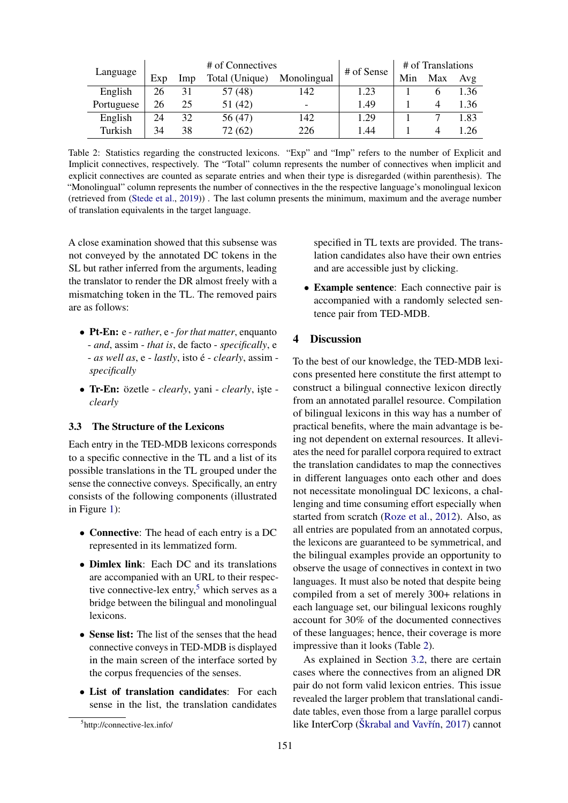<span id="page-3-1"></span>

| Language   | # of Connectives |     |                |                          | # of Sense | # of Translations |     |      |
|------------|------------------|-----|----------------|--------------------------|------------|-------------------|-----|------|
|            | Exp              | Imp | Total (Unique) | Monolingual              |            | Min               | Max | Avg  |
| English    | 26               | 31  | 57 (48)        | 142                      | 1.23       |                   |     | 1.36 |
| Portuguese | 26               | 25  | 51 (42)        | $\overline{\phantom{0}}$ | 1.49       |                   |     | 1.36 |
| English    | 24               | 32  | 56 (47)        | 142                      | 1.29       |                   |     | 1.83 |
| Turkish    | 34               | 38  | 72 (62)        | 226                      | 1.44       |                   | 4   | 1.26 |

Table 2: Statistics regarding the constructed lexicons. "Exp" and "Imp" refers to the number of Explicit and Implicit connectives, respectively. The "Total" column represents the number of connectives when implicit and explicit connectives are counted as separate entries and when their type is disregarded (within parenthesis). The "Monolingual" column represents the number of connectives in the the respective language's monolingual lexicon (retrieved from [\(Stede et al.,](#page-5-0) [2019\)](#page-5-0)) . The last column presents the minimum, maximum and the average number of translation equivalents in the target language.

A close examination showed that this subsense was not conveyed by the annotated DC tokens in the SL but rather inferred from the arguments, leading the translator to render the DR almost freely with a mismatching token in the TL. The removed pairs are as follows:

- Pt-En: e *rather*, e *for that matter*, enquanto - *and*, assim - *that is*, de facto - *specifically*, e - *as well as*, e - *lastly*, isto é - *clearly*, assim *specifically*
- Tr-En: özetle *clearly*, yani *clearly*, iste *clearly*

### 3.3 The Structure of the Lexicons

Each entry in the TED-MDB lexicons corresponds to a specific connective in the TL and a list of its possible translations in the TL grouped under the sense the connective conveys. Specifically, an entry consists of the following components (illustrated in Figure [1\)](#page-4-11):

- Connective: The head of each entry is a DC represented in its lemmatized form.
- Dimlex link: Each DC and its translations are accompanied with an URL to their respec-tive connective-lex entry,<sup>[5](#page-3-2)</sup> which serves as a bridge between the bilingual and monolingual lexicons.
- Sense list: The list of the senses that the head connective conveys in TED-MDB is displayed in the main screen of the interface sorted by the corpus frequencies of the senses.
- List of translation candidates: For each sense in the list, the translation candidates

• Example sentence: Each connective pair is accompanied with a randomly selected sentence pair from TED-MDB.

## <span id="page-3-0"></span>4 Discussion

To the best of our knowledge, the TED-MDB lexicons presented here constitute the first attempt to construct a bilingual connective lexicon directly from an annotated parallel resource. Compilation of bilingual lexicons in this way has a number of practical benefits, where the main advantage is being not dependent on external resources. It alleviates the need for parallel corpora required to extract the translation candidates to map the connectives in different languages onto each other and does not necessitate monolingual DC lexicons, a challenging and time consuming effort especially when started from scratch [\(Roze et al.,](#page-4-12) [2012\)](#page-4-12). Also, as all entries are populated from an annotated corpus, the lexicons are guaranteed to be symmetrical, and the bilingual examples provide an opportunity to observe the usage of connectives in context in two languages. It must also be noted that despite being compiled from a set of merely 300+ relations in each language set, our bilingual lexicons roughly account for 30% of the documented connectives of these languages; hence, their coverage is more impressive than it looks (Table [2\)](#page-3-1).

As explained in Section [3.2,](#page-2-3) there are certain cases where the connectives from an aligned DR pair do not form valid lexicon entries. This issue revealed the larger problem that translational candidate tables, even those from a large parallel corpus like InterCorp ( $\text{Škrabal}$  and Vavrin, [2017\)](#page-4-10) cannot

specified in TL texts are provided. The translation candidates also have their own entries and are accessible just by clicking.

<span id="page-3-2"></span><sup>5</sup> http://connective-lex.info/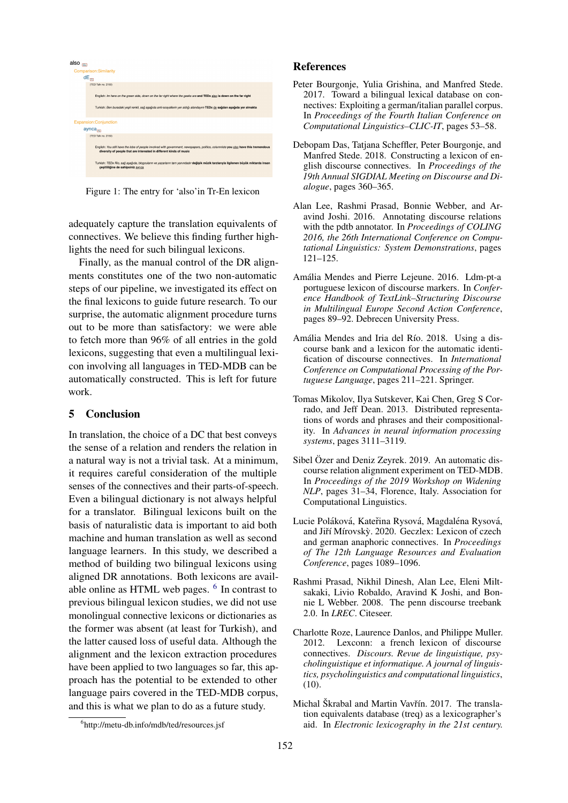<span id="page-4-11"></span>

Figure 1: The entry for 'also'in Tr-En lexicon

adequately capture the translation equivalents of connectives. We believe this finding further highlights the need for such bilingual lexicons.

Finally, as the manual control of the DR alignments constitutes one of the two non-automatic steps of our pipeline, we investigated its effect on the final lexicons to guide future research. To our surprise, the automatic alignment procedure turns out to be more than satisfactory: we were able to fetch more than 96% of all entries in the gold lexicons, suggesting that even a multilingual lexicon involving all languages in TED-MDB can be automatically constructed. This is left for future work.

#### <span id="page-4-3"></span>5 Conclusion

In translation, the choice of a DC that best conveys the sense of a relation and renders the relation in a natural way is not a trivial task. At a minimum, it requires careful consideration of the multiple senses of the connectives and their parts-of-speech. Even a bilingual dictionary is not always helpful for a translator. Bilingual lexicons built on the basis of naturalistic data is important to aid both machine and human translation as well as second language learners. In this study, we described a method of building two bilingual lexicons using aligned DR annotations. Both lexicons are avail-able online as HTML web pages. <sup>[6](#page-4-13)</sup> In contrast to previous bilingual lexicon studies, we did not use monolingual connective lexicons or dictionaries as the former was absent (at least for Turkish), and the latter caused loss of useful data. Although the alignment and the lexicon extraction procedures have been applied to two languages so far, this approach has the potential to be extended to other language pairs covered in the TED-MDB corpus, and this is what we plan to do as a future study.

#### References

- <span id="page-4-1"></span>Peter Bourgonje, Yulia Grishina, and Manfred Stede. 2017. Toward a bilingual lexical database on connectives: Exploiting a german/italian parallel corpus. In *Proceedings of the Fourth Italian Conference on Computational Linguistics–CLIC-IT*, pages 53–58.
- <span id="page-4-9"></span>Debopam Das, Tatjana Scheffler, Peter Bourgonje, and Manfred Stede. 2018. Constructing a lexicon of english discourse connectives. In *Proceedings of the 19th Annual SIGDIAL Meeting on Discourse and Dialogue*, pages 360–365.
- <span id="page-4-4"></span>Alan Lee, Rashmi Prasad, Bonnie Webber, and Aravind Joshi. 2016. Annotating discourse relations with the pdtb annotator. In *Proceedings of COLING 2016, the 26th International Conference on Computational Linguistics: System Demonstrations*, pages 121–125.
- <span id="page-4-7"></span>Amalia Mendes and Pierre Lejeune. 2016. Ldm-pt-a ´ portuguese lexicon of discourse markers. In *Conference Handbook of TextLink–Structuring Discourse in Multilingual Europe Second Action Conference*, pages 89–92. Debrecen University Press.
- <span id="page-4-8"></span>Amália Mendes and Iria del Río. 2018. Using a discourse bank and a lexicon for the automatic identification of discourse connectives. In *International Conference on Computational Processing of the Portuguese Language*, pages 211–221. Springer.
- <span id="page-4-6"></span>Tomas Mikolov, Ilya Sutskever, Kai Chen, Greg S Corrado, and Jeff Dean. 2013. Distributed representations of words and phrases and their compositionality. In *Advances in neural information processing systems*, pages 3111–3119.
- <span id="page-4-5"></span>Sibel Özer and Deniz Zeyrek. 2019. An automatic discourse relation alignment experiment on TED-MDB. In *Proceedings of the 2019 Workshop on Widening NLP*, pages 31–34, Florence, Italy. Association for Computational Linguistics.
- <span id="page-4-2"></span>Lucie Poláková, Kateřina Rysová, Magdaléna Rysová, and Jiří Mírovskỳ. 2020. Geczlex: Lexicon of czech and german anaphoric connectives. In *Proceedings of The 12th Language Resources and Evaluation Conference*, pages 1089–1096.
- <span id="page-4-0"></span>Rashmi Prasad, Nikhil Dinesh, Alan Lee, Eleni Miltsakaki, Livio Robaldo, Aravind K Joshi, and Bonnie L Webber. 2008. The penn discourse treebank 2.0. In *LREC*. Citeseer.
- <span id="page-4-12"></span>Charlotte Roze, Laurence Danlos, and Philippe Muller. 2012. Lexconn: a french lexicon of discourse connectives. *Discours. Revue de linguistique, psycholinguistique et informatique. A journal of linguistics, psycholinguistics and computational linguistics*, (10).
- <span id="page-4-10"></span>Michal Škrabal and Martin Vavřín. 2017. The translation equivalents database (treq) as a lexicographer's aid. In *Electronic lexicography in the 21st century.*

<span id="page-4-13"></span><sup>6</sup> http://metu-db.info/mdb/ted/resources.jsf